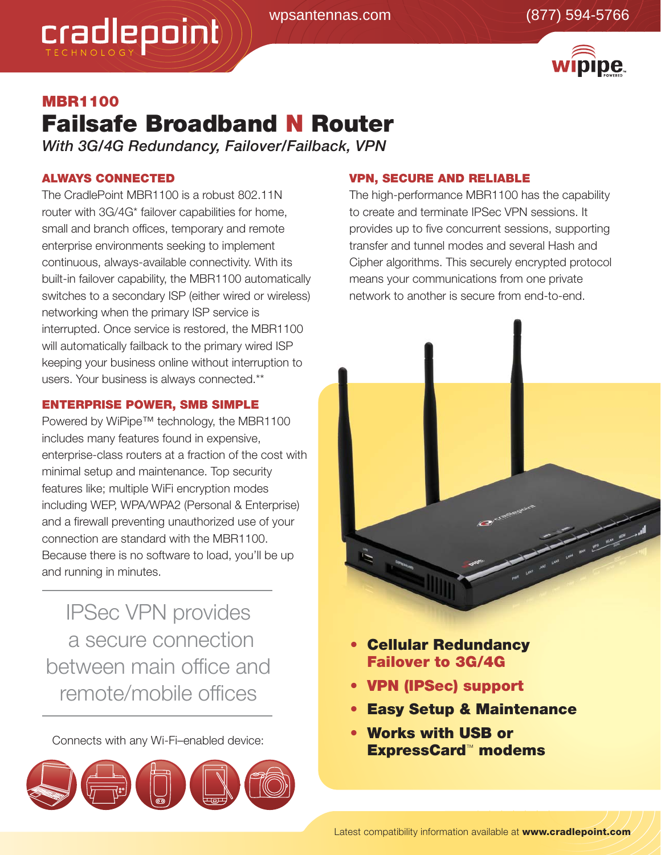

# **MBR1100 Failsafe Broadband N Router**

*With 3G/4G Redundancy, Failover/Failback, VPN*

# **ALWAYS CONNECTED**

cradlepoint

The CradlePoint MBR1100 is a robust 802.11N router with 3G/4G\* failover capabilities for home, small and branch offices, temporary and remote enterprise environments seeking to implement continuous, always-available connectivity. With its built-in failover capability, the MBR1100 automatically switches to a secondary ISP (either wired or wireless) networking when the primary ISP service is interrupted. Once service is restored, the MBR1100 will automatically failback to the primary wired ISP keeping your business online without interruption to users. Your business is always connected.\*\*

## **ENTERPRISE POWER, SMB SIMPLE**

Powered by WiPipe™ technology, the MBR1100 includes many features found in expensive, enterprise-class routers at a fraction of the cost with minimal setup and maintenance. Top security features like; multiple WiFi encryption modes including WEP, WPA/WPA2 (Personal & Enterprise) and a firewall preventing unauthorized use of your connection are standard with the MBR1100. Because there is no software to load, you'll be up and running in minutes.

IPSec VPN provides a secure connection between main office and remote/mobile offices



### **VPN, SECURE AND RELIABLE**

The high-performance MBR1100 has the capability to create and terminate IPSec VPN sessions. It provides up to five concurrent sessions, supporting transfer and tunnel modes and several Hash and Cipher algorithms. This securely encrypted protocol means your communications from one private network to another is secure from end-to-end.



- **Cellular Redundancy Failover to 3G/4G**
- **• VPN (IPSec) support**
- **Easy Setup & Maintenance**
- **Works with USB or Connects with any Wi-Fi–enabled device:**<br> **ExpressCard™ modems**